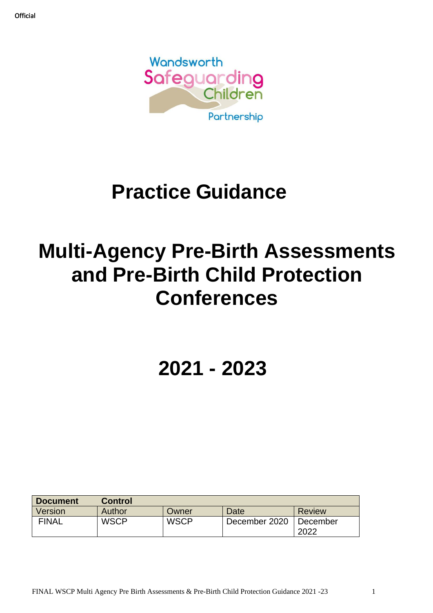

# **Practice Guidance**

# **Multi-Agency Pre-Birth Assessments and Pre-Birth Child Protection Conferences**

# **2021 - 2023**

| <b>Document</b> | <b>Control</b> |             |               |                  |
|-----------------|----------------|-------------|---------------|------------------|
| Version         | Author         | Owner       | Date          | <b>Review</b>    |
| <b>FINAL</b>    | <b>WSCP</b>    | <b>WSCP</b> | December 2020 | December<br>2022 |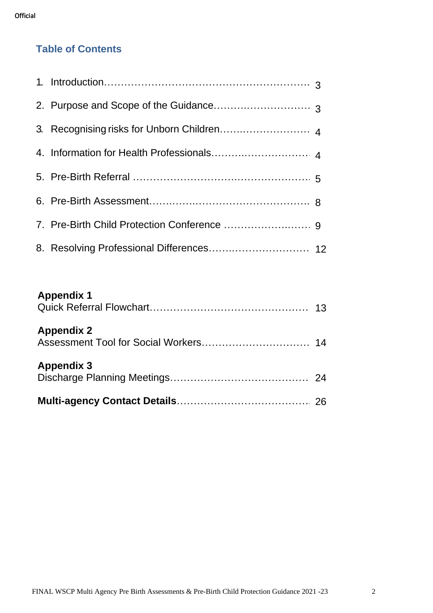# **Table of Contents**

## **Appendix 1**

| <b>Appendix 3</b> |
|-------------------|
| <b>Appendix 2</b> |
|                   |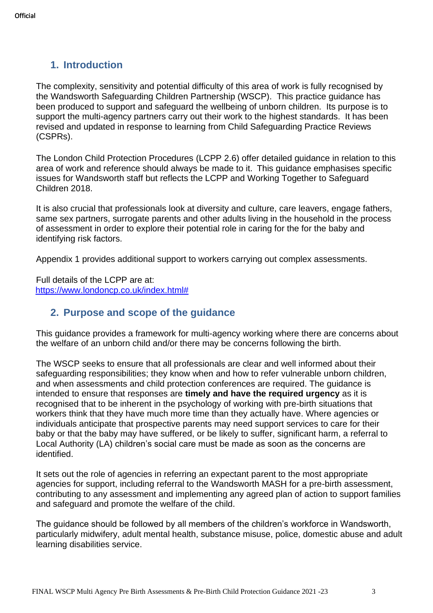## **1. Introduction**

The complexity, sensitivity and potential difficulty of this area of work is fully recognised by the Wandsworth Safeguarding Children Partnership (WSCP). This practice guidance has been produced to support and safeguard the wellbeing of unborn children. Its purpose is to support the multi-agency partners carry out their work to the highest standards. It has been revised and updated in response to learning from Child Safeguarding Practice Reviews (CSPRs).

The London Child Protection Procedures (LCPP 2.6) offer detailed guidance in relation to this area of work and reference should always be made to it. This guidance emphasises specific issues for Wandsworth staff but reflects the LCPP and Working Together to Safeguard Children 2018.

It is also crucial that professionals look at diversity and culture, care leavers, engage fathers, same sex partners, surrogate parents and other adults living in the household in the process of assessment in order to explore their potential role in caring for the for the baby and identifying risk factors.

Appendix 1 provides additional support to workers carrying out complex assessments.

Full details of the LCPP are at: [https://www.londoncp.co.uk/index.html#](https://www.londoncp.co.uk/index.html)

## **2. Purpose and scope of the guidance**

This guidance provides a framework for multi-agency working where there are concerns about the welfare of an unborn child and/or there may be concerns following the birth.

The WSCP seeks to ensure that all professionals are clear and well informed about their safeguarding responsibilities; they know when and how to refer vulnerable unborn children, and when assessments and child protection conferences are required. The guidance is intended to ensure that responses are **timely and have the required urgency** as it is recognised that to be inherent in the psychology of working with pre-birth situations that workers think that they have much more time than they actually have. Where agencies or individuals anticipate that prospective parents may need support services to care for their baby or that the baby may have suffered, or be likely to suffer, significant harm, a referral to Local Authority (LA) children's social care must be made as soon as the concerns are identified.

It sets out the role of agencies in referring an expectant parent to the most appropriate agencies for support, including referral to the Wandsworth MASH for a pre-birth assessment, contributing to any assessment and implementing any agreed plan of action to support families and safeguard and promote the welfare of the child.

The guidance should be followed by all members of the children's workforce in Wandsworth, particularly midwifery, adult mental health, substance misuse, police, domestic abuse and adult learning disabilities service.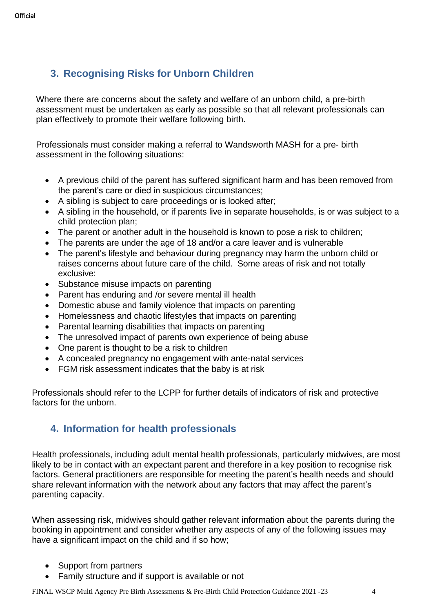# **3. Recognising Risks for Unborn Children**

Where there are concerns about the safety and welfare of an unborn child, a pre-birth assessment must be undertaken as early as possible so that all relevant professionals can plan effectively to promote their welfare following birth.

Professionals must consider making a referral to Wandsworth MASH for a pre- birth assessment in the following situations:

- A previous child of the parent has suffered significant harm and has been removed from the parent's care or died in suspicious circumstances;
- A sibling is subject to care proceedings or is looked after;
- A sibling in the household, or if parents live in separate households, is or was subject to a child protection plan;
- The parent or another adult in the household is known to pose a risk to children;
- The parents are under the age of 18 and/or a care leaver and is vulnerable
- The parent's lifestyle and behaviour during pregnancy may harm the unborn child or raises concerns about future care of the child. Some areas of risk and not totally exclusive:
- Substance misuse impacts on parenting
- Parent has enduring and /or severe mental ill health
- Domestic abuse and family violence that impacts on parenting
- Homelessness and chaotic lifestyles that impacts on parenting
- Parental learning disabilities that impacts on parenting
- The unresolved impact of parents own experience of being abuse
- One parent is thought to be a risk to children
- A concealed pregnancy no engagement with ante-natal services
- FGM risk assessment indicates that the baby is at risk

Professionals should refer to the LCPP for further details of indicators of risk and protective factors for the unborn.

## **4. Information for health professionals**

Health professionals, including adult mental health professionals, particularly midwives, are most likely to be in contact with an expectant parent and therefore in a key position to recognise risk factors. General practitioners are responsible for meeting the parent's health needs and should share relevant information with the network about any factors that may affect the parent's parenting capacity.

When assessing risk, midwives should gather relevant information about the parents during the booking in appointment and consider whether any aspects of any of the following issues may have a significant impact on the child and if so how;

- Support from partners
- Family structure and if support is available or not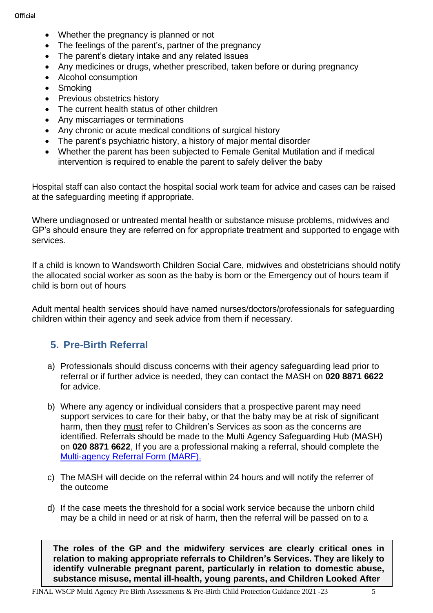**Official** 

- Whether the pregnancy is planned or not
- The feelings of the parent's, partner of the pregnancy
- The parent's dietary intake and any related issues
- Any medicines or drugs, whether prescribed, taken before or during pregnancy
- Alcohol consumption
- Smoking
- Previous obstetrics history
- The current health status of other children
- Any miscarriages or terminations
- Any chronic or acute medical conditions of surgical history
- The parent's psychiatric history, a history of major mental disorder
- Whether the parent has been subjected to Female Genital Mutilation and if medical intervention is required to enable the parent to safely deliver the baby

Hospital staff can also contact the hospital social work team for advice and cases can be raised at the safeguarding meeting if appropriate.

Where undiagnosed or untreated mental health or substance misuse problems, midwives and GP's should ensure they are referred on for appropriate treatment and supported to engage with services.

If a child is known to Wandsworth Children Social Care, midwives and obstetricians should notify the allocated social worker as soon as the baby is born or the Emergency out of hours team if child is born out of hours

Adult mental health services should have named nurses/doctors/professionals for safeguarding children within their agency and seek advice from them if necessary.

## **5. Pre-Birth Referral**

- a) Professionals should discuss concerns with their agency safeguarding lead prior to referral or if further advice is needed, they can contact the MASH on **020 8871 6622** for advice.
- b) Where any agency or individual considers that a prospective parent may need support services to care for their baby, or that the baby may be at risk of significant harm, then they must refer to Children's Services as soon as the concerns are identified. Referrals should be made to the Multi Agency Safeguarding Hub (MASH) on **020 8871 6622**, If you are a professional making a referral, should complete the [Multi-agency Referral Form \(MARF\).](https://www.wandsworth.gov.uk/make_a_referral_to_the_multi_agency_safeguarding_hub)
- c) The MASH will decide on the referral within 24 hours and will notify the referrer of the outcome
- d) If the case meets the threshold for a social work service because the unborn child may be a child in need or at risk of harm, then the referral will be passed on to a

**The roles of the GP and the midwifery services are clearly critical ones in relation to making appropriate referrals to Children's Services. They are likely to identify vulnerable pregnant parent, particularly in relation to domestic abuse, substance misuse, mental ill-health, young parents, and Children Looked After**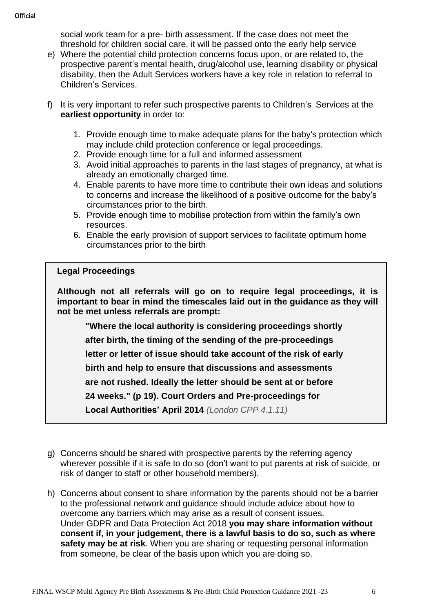social work team for a pre- birth assessment. If the case does not meet the threshold for children social care, it will be passed onto the early help service

- e) Where the potential child protection concerns focus upon, or are related to, the prospective parent's mental health, drug/alcohol use, learning disability or physical disability, then the Adult Services workers have a key role in relation to referral to Children's Services.
- f) It is very important to refer such prospective parents to Children's Services at the **earliest opportunity** in order to:
	- 1. Provide enough time to make adequate plans for the baby's protection which may include child protection conference or legal proceedings.
	- 2. Provide enough time for a full and informed assessment
	- 3. Avoid initial approaches to parents in the last stages of pregnancy, at what is already an emotionally charged time.
	- 4. Enable parents to have more time to contribute their own ideas and solutions to concerns and increase the likelihood of a positive outcome for the baby's circumstances prior to the birth.
	- 5. Provide enough time to mobilise protection from within the family's own resources.
	- 6. Enable the early provision of support services to facilitate optimum home circumstances prior to the birth

#### **Legal Proceedings**

**Although not all referrals will go on to require legal proceedings, it is important to bear in mind the timescales laid out in the guidance as they will not be met unless referrals are prompt:**

**"Where the local authority is considering proceedings shortly after birth, the timing of the sending of the pre-proceedings letter or letter of issue should take account of the risk of early birth and help to ensure that discussions and assessments are not rushed. Ideally the letter should be sent at or before 24 weeks." (p 19). Court Orders and Pre-proceedings for Local Authorities' April 2014** *(London CPP 4.1.11)*

- g) Concerns should be shared with prospective parents by the referring agency wherever possible if it is safe to do so (don't want to put parents at risk of suicide, or risk of danger to staff or other household members).
- h) Concerns about consent to share information by the parents should not be a barrier to the professional network and guidance should include advice about how to overcome any barriers which may arise as a result of consent issues. Under GDPR and Data Protection Act 2018 **you may share information without consent if, in your judgement, there is a lawful basis to do so, such as where safety may be at risk**. When you are sharing or requesting personal information from someone, be clear of the basis upon which you are doing so.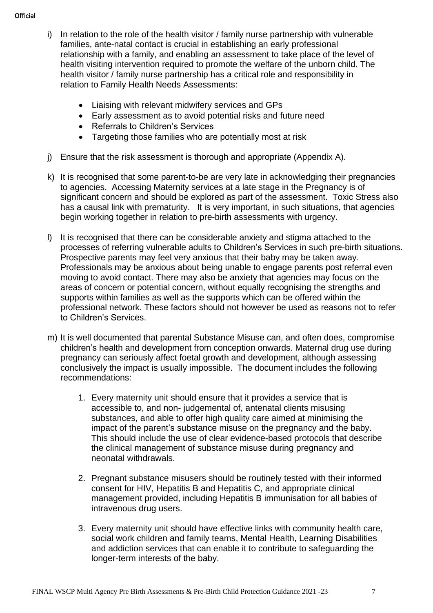- **Official**
- i) In relation to the role of the health visitor / family nurse partnership with vulnerable families, ante-natal contact is crucial in establishing an early professional relationship with a family, and enabling an assessment to take place of the level of health visiting intervention required to promote the welfare of the unborn child. The health visitor / family nurse partnership has a critical role and responsibility in relation to Family Health Needs Assessments:
	- Liaising with relevant midwifery services and GPs
	- Early assessment as to avoid potential risks and future need
	- Referrals to Children's Services
	- Targeting those families who are potentially most at risk
- j) Ensure that the risk assessment is thorough and appropriate (Appendix A).
- k) It is recognised that some parent-to-be are very late in acknowledging their pregnancies to agencies. Accessing Maternity services at a late stage in the Pregnancy is of significant concern and should be explored as part of the assessment. Toxic Stress also has a causal link with prematurity. It is very important, in such situations, that agencies begin working together in relation to pre-birth assessments with urgency.
- l) It is recognised that there can be considerable anxiety and stigma attached to the processes of referring vulnerable adults to Children's Services in such pre-birth situations. Prospective parents may feel very anxious that their baby may be taken away. Professionals may be anxious about being unable to engage parents post referral even moving to avoid contact. There may also be anxiety that agencies may focus on the areas of concern or potential concern, without equally recognising the strengths and supports within families as well as the supports which can be offered within the professional network. These factors should not however be used as reasons not to refer to Children's Services.
- m) It is well documented that parental Substance Misuse can, and often does, compromise children's health and development from conception onwards. Maternal drug use during pregnancy can seriously affect foetal growth and development, although assessing conclusively the impact is usually impossible. The document includes the following recommendations:
	- 1. Every maternity unit should ensure that it provides a service that is accessible to, and non- judgemental of, antenatal clients misusing substances, and able to offer high quality care aimed at minimising the impact of the parent's substance misuse on the pregnancy and the baby. This should include the use of clear evidence-based protocols that describe the clinical management of substance misuse during pregnancy and neonatal withdrawals.
	- 2. Pregnant substance misusers should be routinely tested with their informed consent for HIV, Hepatitis B and Hepatitis C, and appropriate clinical management provided, including Hepatitis B immunisation for all babies of intravenous drug users.
	- 3. Every maternity unit should have effective links with community health care, social work children and family teams, Mental Health, Learning Disabilities and addiction services that can enable it to contribute to safeguarding the longer-term interests of the baby.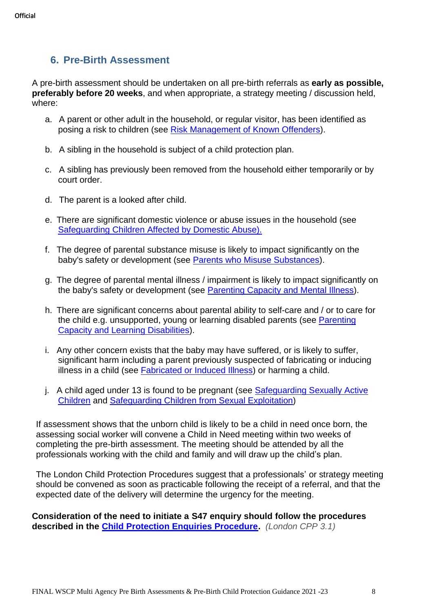## **6. Pre-Birth Assessment**

A pre-birth assessment should be undertaken on all pre-birth referrals as **early as possible, preferably before 20 weeks**, and when appropriate, a strategy meeting / discussion held, where:

- a. A parent or other adult in the household, or regular visitor, has been identified as posing a risk to children (see [Risk Management of Known Offenders\)](https://proceduresonline.com/trixcms1/media/6061/risk-management-of-known-offenders.docx).
- b. A sibling in the household is subject of a child protection plan.
- c. A sibling has previously been removed from the household either temporarily or by court order.
- d. The parent is a looked after child.
- e. There are significant domestic violence or abuse issues in the household (see [Safeguarding Children Affected by Domestic Abuse\).](https://proceduresonline.com/trixcms1/media/6092/safeguarding-children-affected-by-domestic-abuse.docx)
- f. The degree of parental substance misuse is likely to impact significantly on the baby's safety or development (see [Parents who Misuse Substances\)](https://proceduresonline.com/trixcms1/media/6093/parents-who-misuse-substances.docx).
- g. The degree of parental mental illness / impairment is likely to impact significantly on the baby's safety or development (see [Parenting Capacity and Mental Illness\)](https://proceduresonline.com/trixcms1/media/6094/parenting-capacity-and-mental-illness.docx).
- h. There are significant concerns about parental ability to self-care and / or to care for the child e.g. unsupported, young or learning disabled parents (see Parenting [Capacity and Learning](https://proceduresonline.com/trixcms1/media/6095/parenting-capacity-and-learning-disabilities.docx) Disabilities).
- i. Any other concern exists that the baby may have suffered, or is likely to suffer, significant harm including a parent previously suspected of fabricating or inducing illness in a child (see [Fabricated or Induced Illness\)](https://proceduresonline.com/trixcms1/media/6039/fabricated-or-induced-illness.docx) or harming a child.
- j. A child aged under 13 is found to be pregnant (see [Safeguarding Sexually Active](https://proceduresonline.com/trixcms1/media/6106/safeguarding-sexually-active-children.docx)  [Children](https://proceduresonline.com/trixcms1/media/6106/safeguarding-sexually-active-children.docx) and [Safeguarding Children from Sexual Exploitation\)](https://proceduresonline.com/trixcms1/media/6034/safeguarding-children-from-sexual-exploitation.docx)

If assessment shows that the unborn child is likely to be a child in need once born, the assessing social worker will convene a Child in Need meeting within two weeks of completing the pre-birth assessment. The meeting should be attended by all the professionals working with the child and family and will draw up the child's plan.

The London Child Protection Procedures suggest that a professionals' or strategy meeting should be convened as soon as practicable following the receipt of a referral, and that the expected date of the delivery will determine the urgency for the meeting.

**Consideration of the need to initiate a S47 enquiry should follow the procedures described in the [Child Protection Enquiries Procedure.](https://www.londoncp.co.uk/chi_prot_enq.html)** *(London CPP 3.1)*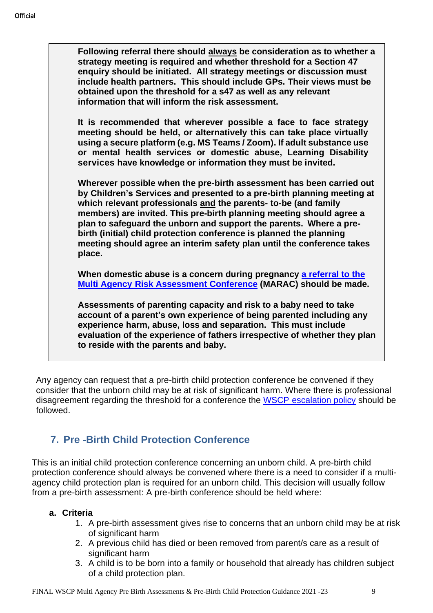**Following referral there should always be consideration as to whether a strategy meeting is required and whether threshold for a Section 47 enquiry should be initiated. All strategy meetings or discussion must include health partners. This should include GPs. Their views must be obtained upon the threshold for a s47 as well as any relevant information that will inform the risk assessment. It is recommended that wherever possible a face to face strategy meeting should be held, or alternatively this can take place virtually using a secure platform (e.g. MS Teams / Zoom). If adult substance use or mental health services or domestic abuse, Learning Disability services have knowledge or information they must be invited. Wherever possible when the pre-birth assessment has been carried out by Children's Services and presented to a pre-birth planning meeting at which relevant professionals and the parents- to-be (and family members) are invited. This pre-birth planning meeting should agree a plan to safeguard the unborn and support the parents. Where a prebirth (initial) child protection conference is planned the planning meeting should agree an interim safety plan until the conference takes place. When domestic abuse is a concern during pregnancy [a referral](https://wscp.org.uk/media/1151/marac_referral_form.docx) to the Multi Agency [Risk Assessment](https://wscp.org.uk/media/1151/marac_referral_form.docx) Conference (MARAC) should be made. Assessments of parenting capacity and risk to a baby need to take account of a parent's own experience of being parented including any experience harm, abuse, loss and separation. This must include evaluation of the experience of fathers irrespective of whether they plan to reside with the parents and baby.**

Any agency can request that a pre-birth child protection conference be convened if they consider that the unborn child may be at risk of significant harm. Where there is professional disagreement regarding the threshold for a conference the WSCP [escalation](https://wscp.org.uk/media/1329/inter_agency_escalation_policy-v2.docx) policy should be followed.

## **7. Pre -Birth Child Protection Conference**

This is an initial child protection conference concerning an unborn child. A pre-birth child protection conference should always be convened where there is a need to consider if a multiagency child protection plan is required for an unborn child. This decision will usually follow from a pre-birth assessment: A pre-birth conference should be held where:

### **a. Criteria**

- 1. A pre-birth assessment gives rise to concerns that an unborn child may be at risk of significant harm
- 2. A previous child has died or been removed from parent/s care as a result of significant harm
- 3. A child is to be born into a family or household that already has children subject of a child protection plan.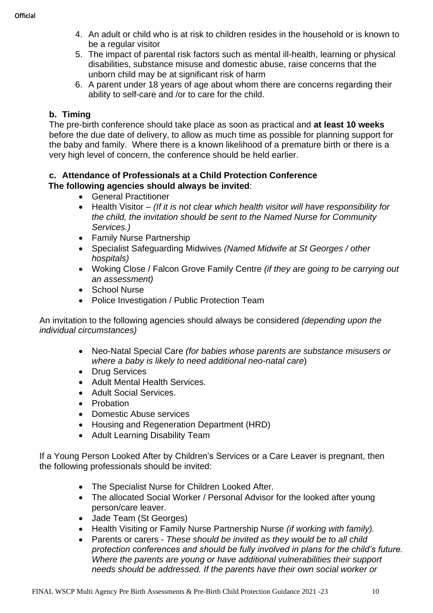- 4. An adult or child who is at risk to children resides in the household or is known to be a regular visitor
- 5. The impact of parental risk factors such as mental ill-health, learning or physical disabilities, substance misuse and domestic abuse, raise concerns that the unborn child may be at significant risk of harm
- 6. A parent under 18 years of age about whom there are concerns regarding their ability to self-care and /or to care for the child.

## **b. Timing**

The pre-birth conference should take place as soon as practical and **at least 10 weeks** before the due date of delivery, to allow as much time as possible for planning support for the baby and family. Where there is a known likelihood of a premature birth or there is a very high level of concern, the conference should be held earlier.

## **c. Attendance of Professionals at a Child Protection Conference The following agencies should always be invited**:

- General Practitioner
- Health Visitor *(If it is not clear which health visitor will have responsibility for the child, the invitation should be sent to the Named Nurse for Community Services.)*
- Family Nurse Partnership
- Specialist Safeguarding Midwives *(Named Midwife at St Georges / other hospitals)*
- Woking Close / Falcon Grove Family Centre *(if they are going to be carrying out an assessment)*
- School Nurse
- Police Investigation / Public Protection Team

An invitation to the following agencies should always be considered *(depending upon the individual circumstances)*

- Neo-Natal Special Care *(for babies whose parents are substance misusers or where a baby is likely to need additional neo-natal care*)
- Drug Services
- Adult Mental Health Services.
- Adult Social Services.
- Probation
- Domestic Abuse services
- Housing and Regeneration Department (HRD)
- Adult Learning Disability Team

If a Young Person Looked After by Children's Services or a Care Leaver is pregnant, then the following professionals should be invited:

- The Specialist Nurse for Children Looked After.
- The allocated Social Worker / Personal Advisor for the looked after young person/care leaver.
- Jade Team (St Georges)
- Health Visiting or Family Nurse Partnership Nurse *(if working with family).*
- Parents or carers *These should be invited as they would be to all child protection conferences and should be fully involved in plans for the child's future. Where the parents are young or have additional vulnerabilities their support needs should be addressed. If the parents have their own social worker or*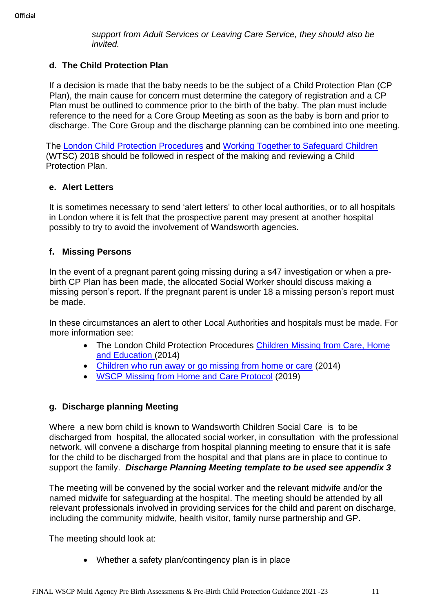*support from Adult Services or Leaving Care Service, they should also be invited.*

## **d. The Child Protection Plan**

If a decision is made that the baby needs to be the subject of a Child Protection Plan (CP Plan), the main cause for concern must determine the category of registration and a CP Plan must be outlined to commence prior to the birth of the baby. The plan must include reference to the need for a Core Group Meeting as soon as the baby is born and prior to discharge. The Core Group and the discharge planning can be combined into one meeting.

The London [Child Protection](https://www.londoncp.co.uk/index.html) Procedures and [Working Together to Safeguard Children](https://assets.publishing.service.gov.uk/government/uploads/system/uploads/attachment_data/file/779401/Working_Together_to_Safeguard-Children.pdf) (WTSC) 2018 should be followed in respect of the making and reviewing a Child Protection Plan.

#### **e. Alert Letters**

It is sometimes necessary to send 'alert letters' to other local authorities, or to all hospitals in London where it is felt that the prospective parent may present at another hospital possibly to try to avoid the involvement of Wandsworth agencies.

### **f. Missing Persons**

In the event of a pregnant parent going missing during a s47 investigation or when a prebirth CP Plan has been made, the allocated Social Worker should discuss making a missing person's report. If the pregnant parent is under 18 a missing person's report must be made.

In these circumstances an alert to other Local Authorities and hospitals must be made. For more information see:

- The London Child Protection Procedures [Children](https://proceduresonline.com/trixcms1/media/6047/children-missing-from-care-home-and-education.docx) Missing from Care, Home and [Education](https://proceduresonline.com/trixcms1/media/6047/children-missing-from-care-home-and-education.docx) (2014)
- [Children](https://www.gov.uk/government/publications/children-who-run-away-or-go-missing-from-home-or-care) who run away or go missing from home or care (2014)
- WSCP Missing [from Home and Care Protocol](https://wscp.org.uk/media/1210/missing_children_protocol.pdf) (2019)

### **g. Discharge planning Meeting**

Where a new born child is known to Wandsworth Children Social Care is to be discharged from hospital, the allocated social worker, in consultation with the professional network, will convene a discharge from hospital planning meeting to ensure that it is safe for the child to be discharged from the hospital and that plans are in place to continue to support the family. *Discharge Planning Meeting template to be used see appendix 3*

The meeting will be convened by the social worker and the relevant midwife and/or the named midwife for safeguarding at the hospital. The meeting should be attended by all relevant professionals involved in providing services for the child and parent on discharge, including the community midwife, health visitor, family nurse partnership and GP.

The meeting should look at:

• Whether a safety plan/contingency plan is in place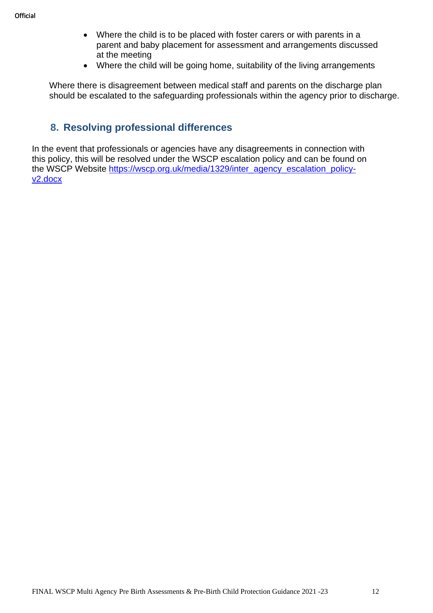- Where the child is to be placed with foster carers or with parents in a parent and baby placement for assessment and arrangements discussed at the meeting
- Where the child will be going home, suitability of the living arrangements

Where there is disagreement between medical staff and parents on the discharge plan should be escalated to the safeguarding professionals within the agency prior to discharge.

## **8. Resolving professional differences**

In the event that professionals or agencies have any disagreements in connection with this policy, this will be resolved under the WSCP escalation policy and can be found on the WSCP Website [https://wscp.org.uk/media/1329/inter\\_agency\\_escalation\\_policy](https://wscp.org.uk/media/1329/inter_agency_escalation_policy-v2.docx)[v2.docx](https://wscp.org.uk/media/1329/inter_agency_escalation_policy-v2.docx)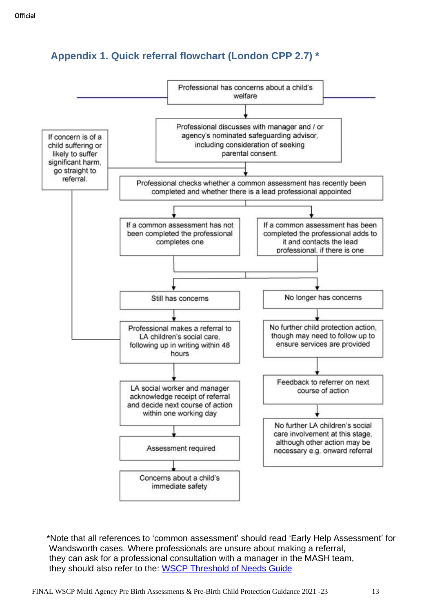# **Appendix 1. Quick referral flowchart (London CPP 2.7) \***



 \*Note that all references to 'common assessment' should read 'Early Help Assessment' for Wandsworth cases. Where professionals are unsure about making a referral, they can ask for a professional consultation with a manager in the MASH team, they should also refer to the: WSCP [Threshold](http://www.wscb.org.uk/wscb/downloads/file/227/wscb_threshold_of_need_document_v20_june_17) of Needs Guide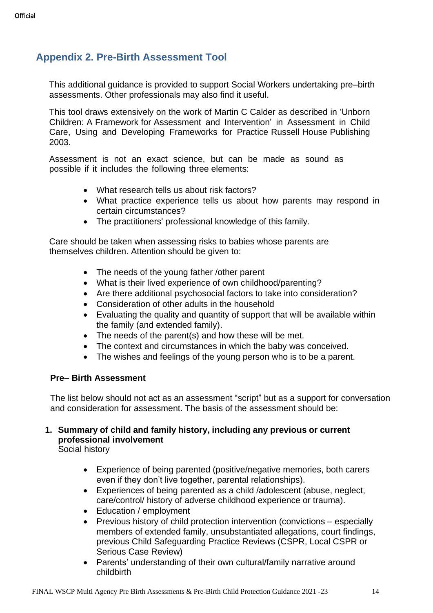## **Appendix 2. Pre-Birth Assessment Tool**

This additional guidance is provided to support Social Workers undertaking pre–birth assessments. Other professionals may also find it useful.

This tool draws extensively on the work of Martin C Calder as described in 'Unborn Children: A Framework for Assessment and Intervention' in Assessment in Child Care, Using and Developing Frameworks for Practice Russell House Publishing 2003.

Assessment is not an exact science, but can be made as sound as possible if it includes the following three elements:

- What research tells us about risk factors?
- What practice experience tells us about how parents may respond in certain circumstances?
- The practitioners' professional knowledge of this family.

Care should be taken when assessing risks to babies whose parents are themselves children. Attention should be given to:

- The needs of the young father /other parent
- What is their lived experience of own childhood/parenting?
- Are there additional psychosocial factors to take into consideration?
- Consideration of other adults in the household
- Evaluating the quality and quantity of support that will be available within the family (and extended family).
- The needs of the parent(s) and how these will be met.
- The context and circumstances in which the baby was conceived.
- The wishes and feelings of the young person who is to be a parent.

#### **Pre– Birth Assessment**

The list below should not act as an assessment "script" but as a support for conversation and consideration for assessment. The basis of the assessment should be:

## **1. Summary of child and family history, including any previous or current professional involvement**

Social history

- Experience of being parented (positive/negative memories, both carers even if they don't live together, parental relationships).
- Experiences of being parented as a child /adolescent (abuse, neglect, care/control/ history of adverse childhood experience or trauma).
- Education / employment
- Previous history of child protection intervention (convictions especially members of extended family, unsubstantiated allegations, court findings, previous Child Safeguarding Practice Reviews (CSPR, Local CSPR or Serious Case Review)
- Parents' understanding of their own cultural/family narrative around childbirth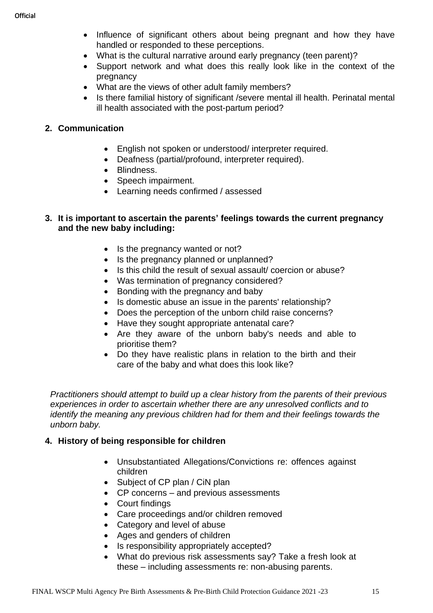- Influence of significant others about being pregnant and how they have handled or responded to these perceptions.
- What is the cultural narrative around early pregnancy (teen parent)?
- Support network and what does this really look like in the context of the pregnancy
- What are the views of other adult family members?
- Is there familial history of significant /severe mental ill health. Perinatal mental ill health associated with the post-partum period?

#### **2. Communication**

- English not spoken or understood/ interpreter required.
- Deafness (partial/profound, interpreter required).
- Blindness.
- Speech impairment.
- Learning needs confirmed / assessed

#### **3. It is important to ascertain the parents' feelings towards the current pregnancy and the new baby including:**

- Is the pregnancy wanted or not?
- Is the pregnancy planned or unplanned?
- Is this child the result of sexual assault/ coercion or abuse?
- Was termination of pregnancy considered?
- Bonding with the pregnancy and baby
- Is domestic abuse an issue in the parents' relationship?
- Does the perception of the unborn child raise concerns?
- Have they sought appropriate antenatal care?
- Are they aware of the unborn baby's needs and able to prioritise them?
- Do they have realistic plans in relation to the birth and their care of the baby and what does this look like?

*Practitioners should attempt to build up a clear history from the parents of their previous experiences in order to ascertain whether there are any unresolved conflicts and to identify the meaning any previous children had for them and their feelings towards the unborn baby.*

#### **4. History of being responsible for children**

- Unsubstantiated Allegations/Convictions re: offences against children
- Subject of CP plan / CiN plan
- CP concerns and previous assessments
- Court findings
- Care proceedings and/or children removed
- Category and level of abuse
- Ages and genders of children
- Is responsibility appropriately accepted?
- What do previous risk assessments say? Take a fresh look at these – including assessments re: non-abusing parents.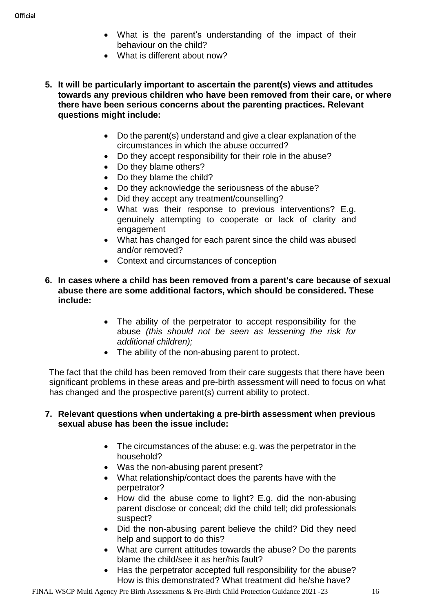- What is the parent's understanding of the impact of their behaviour on the child?
- What is different about now?
- **5. It will be particularly important to ascertain the parent(s) views and attitudes towards any previous children who have been removed from their care, or where there have been serious concerns about the parenting practices. Relevant questions might include:**
	- Do the parent(s) understand and give a clear explanation of the circumstances in which the abuse occurred?
	- Do they accept responsibility for their role in the abuse?
	- Do they blame others?
	- Do they blame the child?
	- Do they acknowledge the seriousness of the abuse?
	- Did they accept any treatment/counselling?
	- What was their response to previous interventions? E.g. genuinely attempting to cooperate or lack of clarity and engagement
	- What has changed for each parent since the child was abused and/or removed?
	- Context and circumstances of conception
- **6. In cases where a child has been removed from a parent's care because of sexual abuse there are some additional factors, which should be considered. These include:**
	- The ability of the perpetrator to accept responsibility for the abuse *(this should not be seen as lessening the risk for additional children);*
	- The ability of the non-abusing parent to protect.

The fact that the child has been removed from their care suggests that there have been significant problems in these areas and pre-birth assessment will need to focus on what has changed and the prospective parent(s) current ability to protect.

#### **7. Relevant questions when undertaking a pre-birth assessment when previous sexual abuse has been the issue include:**

- The circumstances of the abuse: e.g. was the perpetrator in the household?
- Was the non-abusing parent present?
- What relationship/contact does the parents have with the perpetrator?
- How did the abuse come to light? E.g. did the non-abusing parent disclose or conceal; did the child tell; did professionals suspect?
- Did the non-abusing parent believe the child? Did they need help and support to do this?
- What are current attitudes towards the abuse? Do the parents blame the child/see it as her/his fault?
- Has the perpetrator accepted full responsibility for the abuse? How is this demonstrated? What treatment did he/she have?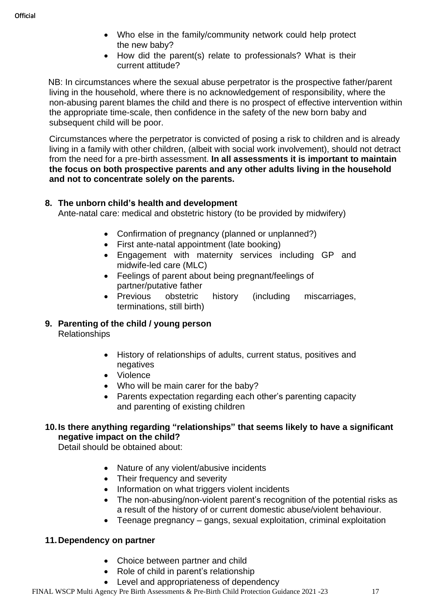- Who else in the family/community network could help protect the new baby?
- How did the parent(s) relate to professionals? What is their current attitude?

 NB: In circumstances where the sexual abuse perpetrator is the prospective father/parent living in the household, where there is no acknowledgement of responsibility, where the non-abusing parent blames the child and there is no prospect of effective intervention within the appropriate time-scale, then confidence in the safety of the new born baby and subsequent child will be poor.

Circumstances where the perpetrator is convicted of posing a risk to children and is already living in a family with other children, (albeit with social work involvement), should not detract from the need for a pre-birth assessment. **In all assessments it is important to maintain the focus on both prospective parents and any other adults living in the household and not to concentrate solely on the parents.**

### **8. The unborn child's health and development**

Ante-natal care: medical and obstetric history (to be provided by midwifery)

- Confirmation of pregnancy (planned or unplanned?)
- First ante-natal appointment (late booking)
- Engagement with maternity services including GP and midwife-led care (MLC)
- Feelings of parent about being pregnant/feelings of partner/putative father
- Previous obstetric history (including miscarriages, terminations, still birth)
- **9. Parenting of the child / young person** Relationships
	- History of relationships of adults, current status, positives and negatives
	- Violence
	- Who will be main carer for the baby?
	- Parents expectation regarding each other's parenting capacity and parenting of existing children

### **10.Is there anything regarding "relationships" that seems likely to have a significant negative impact on the child?**

Detail should be obtained about:

- Nature of any violent/abusive incidents
- Their frequency and severity
- Information on what triggers violent incidents
- The non-abusing/non-violent parent's recognition of the potential risks as a result of the history of or current domestic abuse/violent behaviour.
- Teenage pregnancy gangs, sexual exploitation, criminal exploitation

### **11.Dependency on partner**

- Choice between partner and child
- Role of child in parent's relationship
- Level and appropriateness of dependency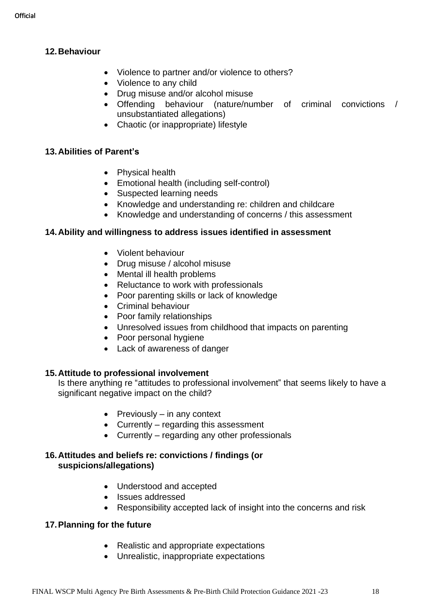### **12.Behaviour**

- Violence to partner and/or violence to others?
- Violence to any child
- Drug misuse and/or alcohol misuse
- Offending behaviour (nature/number of criminal convictions / unsubstantiated allegations)
- Chaotic (or inappropriate) lifestyle

#### **13.Abilities of Parent's**

- Physical health
- Emotional health (including self-control)
- Suspected learning needs
- Knowledge and understanding re: children and childcare
- Knowledge and understanding of concerns / this assessment

#### **14.Ability and willingness to address issues identified in assessment**

- Violent behaviour
- Drug misuse / alcohol misuse
- Mental ill health problems
- Reluctance to work with professionals
- Poor parenting skills or lack of knowledge
- Criminal behaviour
- Poor family relationships
- Unresolved issues from childhood that impacts on parenting
- Poor personal hygiene
- Lack of awareness of danger

#### **15.Attitude to professional involvement**

Is there anything re "attitudes to professional involvement" that seems likely to have a significant negative impact on the child?

- Previously  $-$  in any context
- Currently regarding this assessment
- Currently regarding any other professionals

#### **16.Attitudes and beliefs re: convictions / findings (or suspicions/allegations)**

- Understood and accepted
- Issues addressed
- Responsibility accepted lack of insight into the concerns and risk

### **17.Planning for the future**

- Realistic and appropriate expectations
- Unrealistic, inappropriate expectations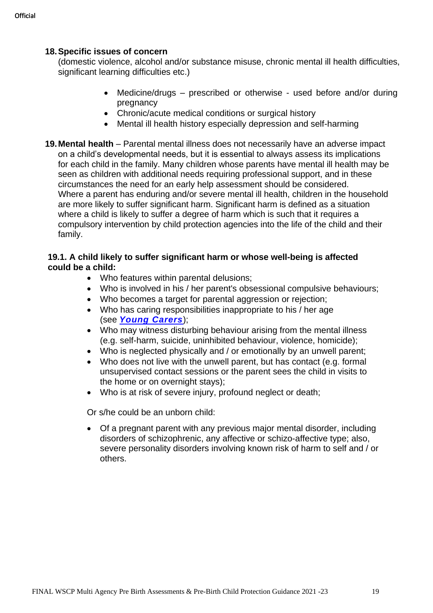#### **18.Specific issues of concern**

(domestic violence, alcohol and/or substance misuse, chronic mental ill health difficulties, significant learning difficulties etc.)

- Medicine/drugs prescribed or otherwise used before and/or during pregnancy
- Chronic/acute medical conditions or surgical history
- Mental ill health history especially depression and self-harming
- **19.Mental health** *–* Parental mental illness does not necessarily have an adverse impact on a child's developmental needs, but it is essential to always assess its implications for each child in the family. Many children whose parents have mental ill health may be seen as children with additional needs requiring professional support, and in these circumstances the need for an early help assessment should be considered. Where a parent has enduring and/or severe mental ill health, children in the household are more likely to suffer significant harm. Significant harm is defined as a situation where a child is likely to suffer a degree of harm which is such that it requires a compulsory intervention by child protection agencies into the life of the child and their family.

#### **19.1. A child likely to suffer significant harm or whose well-being is affected could be a child:**

- Who features within parental delusions;
- Who is involved in his / her parent's obsessional compulsive behaviours;
- Who becomes a target for parental aggression or rejection;
- Who has caring responsibilities inappropriate to his / her age (see *[Young Carers](https://www.londoncp.co.uk/young_carers.html)*);
- Who may witness disturbing behaviour arising from the mental illness (e.g. self-harm, suicide, uninhibited behaviour, violence, homicide);
- Who is neglected physically and / or emotionally by an unwell parent;
- Who does not live with the unwell parent, but has contact (e.g. formal unsupervised contact sessions or the parent sees the child in visits to the home or on overnight stays);
- Who is at risk of severe injury, profound neglect or death;

Or s/he could be an unborn child:

• Of a pregnant parent with any previous major mental disorder, including disorders of schizophrenic, any affective or schizo-affective type; also, severe personality disorders involving known risk of harm to self and / or others.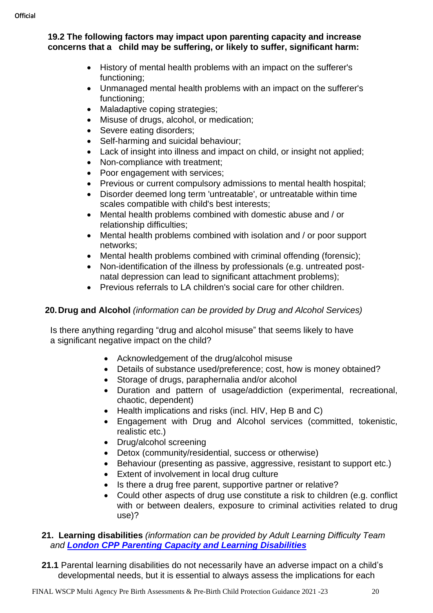### **19.2 The following factors may impact upon parenting capacity and increase concerns that a child may be suffering, or likely to suffer, significant harm:**

- History of mental health problems with an impact on the sufferer's functioning;
- Unmanaged mental health problems with an impact on the sufferer's functioning;
- Maladaptive coping strategies;
- Misuse of drugs, alcohol, or medication;
- Severe eating disorders;
- Self-harming and suicidal behaviour;
- Lack of insight into illness and impact on child, or insight not applied;
- Non-compliance with treatment;
- Poor engagement with services;
- Previous or current compulsory admissions to mental health hospital;
- Disorder deemed long term 'untreatable', or untreatable within time scales compatible with child's best interests;
- Mental health problems combined with domestic abuse and / or relationship difficulties;
- Mental health problems combined with isolation and / or poor support networks;
- Mental health problems combined with criminal offending (forensic);
- Non-identification of the illness by professionals (e.g. untreated postnatal depression can lead to significant attachment problems);
- Previous referrals to LA children's social care for other children.

## **20.Drug and Alcohol** *(information can be provided by Drug and Alcohol Services)*

Is there anything regarding "drug and alcohol misuse" that seems likely to have a significant negative impact on the child?

- Acknowledgement of the drug/alcohol misuse
- Details of substance used/preference; cost, how is money obtained?
- Storage of drugs, paraphernalia and/or alcohol
- Duration and pattern of usage/addiction (experimental, recreational, chaotic, dependent)
- Health implications and risks (incl. HIV, Hep B and C)
- Engagement with Drug and Alcohol services (committed, tokenistic, realistic etc.)
- Drug/alcohol screening
- Detox (community/residential, success or otherwise)
- Behaviour (presenting as passive, aggressive, resistant to support etc.)
- Extent of involvement in local drug culture
- Is there a drug free parent, supportive partner or relative?
- Could other aspects of drug use constitute a risk to children (e.g. conflict with or between dealers, exposure to criminal activities related to drug use)?

#### **21. Learning disabilities** *(information can be provided by Adult Learning Difficulty Team and [London CPP Parenting Capacity and Learning Disabilities](https://proceduresonline.com/trixcms1/media/6095/parenting-capacity-and-learning-disabilities.docx)*

 **21.1** Parental learning disabilities do not necessarily have an adverse impact on a child's developmental needs, but it is essential to always assess the implications for each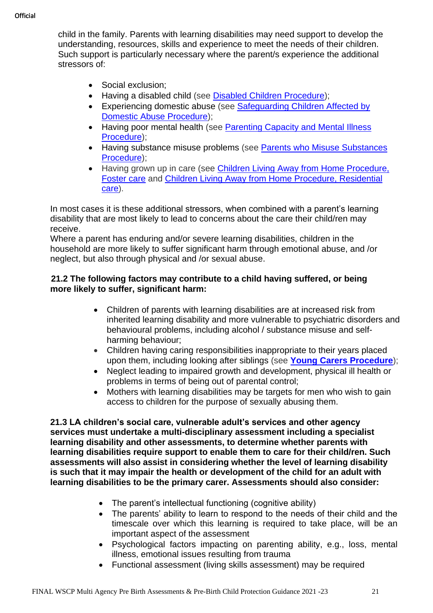**Official** 

child in the family. Parents with learning disabilities may need support to develop the understanding, resources, skills and experience to meet the needs of their children. Such support is particularly necessary where the parent/s experience the additional stressors of:

- Social exclusion;
- Having a disabled child (see [Disabled Children Procedure\)](https://www.londoncp.co.uk/disabled_ch.html);
- Experiencing domestic abuse (see [Safeguarding Children Affected by](https://www.londoncp.co.uk/sg_ch_dom_abuse.html)  [Domestic Abuse Procedure\)](https://www.londoncp.co.uk/sg_ch_dom_abuse.html);
- Having poor mental health (see [Parenting Capacity and Mental Illness](https://www.londoncp.co.uk/par_cap_ment_illness.html)  [Procedure\)](https://www.londoncp.co.uk/par_cap_ment_illness.html);
- Having substance misuse problems (see [Parents who Misuse Substances](https://www.londoncp.co.uk/par_misuse_subtance.html)  [Procedure\)](https://www.londoncp.co.uk/par_misuse_subtance.html);
- Having grown up in care (see [Children Living Away from Home Procedure,](https://www.londoncp.co.uk/ch_living_away.html#fost_care)  [Foster care](https://www.londoncp.co.uk/ch_living_away.html#fost_care) and [Children Living Away from Home Procedure, Residential](https://www.londoncp.co.uk/ch_living_away.html#resid_care)  [care](https://www.londoncp.co.uk/ch_living_away.html#resid_care)).

In most cases it is these additional stressors, when combined with a parent's learning disability that are most likely to lead to concerns about the care their child/ren may receive.

Where a parent has enduring and/or severe learning disabilities, children in the household are more likely to suffer significant harm through emotional abuse, and /or neglect, but also through physical and /or sexual abuse.

#### **21.2 The following factors may contribute to a child having suffered, or being more likely to suffer, significant harm:**

- Children of parents with learning disabilities are at increased risk from inherited learning disability and more vulnerable to psychiatric disorders and behavioural problems, including alcohol / substance misuse and selfharming behaviour;
- Children having caring responsibilities inappropriate to their years placed upon them, including looking after siblings (see **[Young Carers Procedure](https://www.londoncp.co.uk/young_carers.html)**);
- Neglect leading to impaired growth and development, physical ill health or problems in terms of being out of parental control;
- Mothers with learning disabilities may be targets for men who wish to gain access to children for the purpose of sexually abusing them.

**21.3 LA children's social care, vulnerable adult's services and other agency services must undertake a multi-disciplinary assessment including a specialist learning disability and other assessments, to determine whether parents with learning disabilities require support to enable them to care for their child/ren. Such assessments will also assist in considering whether the level of learning disability is such that it may impair the health or development of the child for an adult with learning disabilities to be the primary carer. Assessments should also consider:**

- The parent's intellectual functioning (cognitive ability)
- The parents' ability to learn to respond to the needs of their child and the timescale over which this learning is required to take place, will be an important aspect of the assessment
- Psychological factors impacting on parenting ability, e.g., loss, mental illness, emotional issues resulting from trauma
- Functional assessment (living skills assessment) may be required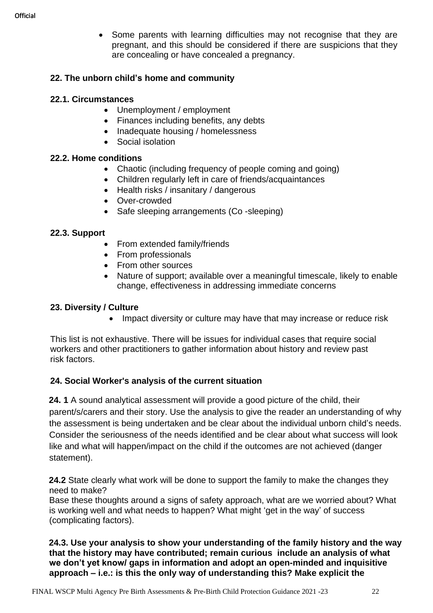• Some parents with learning difficulties may not recognise that they are pregnant, and this should be considered if there are suspicions that they are concealing or have concealed a pregnancy.

#### **22. The unborn child's home and community**

#### **22.1. Circumstances**

- Unemployment / employment
- Finances including benefits, any debts
- Inadequate housing / homelessness
- Social isolation

#### **22.2. Home conditions**

- Chaotic (including frequency of people coming and going)
- Children regularly left in care of friends/acquaintances
- Health risks / insanitary / dangerous
- Over-crowded
- Safe sleeping arrangements (Co-sleeping)

#### **22.3. Support**

- From extended family/friends
- From professionals
- From other sources
- Nature of support; available over a meaningful timescale, likely to enable change, effectiveness in addressing immediate concerns

#### **23. Diversity / Culture**

• Impact diversity or culture may have that may increase or reduce risk

This list is not exhaustive. There will be issues for individual cases that require social workers and other practitioners to gather information about history and review past risk factors.

### **24. Social Worker's analysis of the current situation**

 **24. 1** A sound analytical assessment will provide a good picture of the child, their parent/s/carers and their story. Use the analysis to give the reader an understanding of why the assessment is being undertaken and be clear about the individual unborn child's needs. Consider the seriousness of the needs identified and be clear about what success will look like and what will happen/impact on the child if the outcomes are not achieved (danger statement).

 **24.2** State clearly what work will be done to support the family to make the changes they need to make?

Base these thoughts around a signs of safety approach, what are we worried about? What is working well and what needs to happen? What might 'get in the way' of success (complicating factors).

 **24.3. Use your analysis to show your understanding of the family history and the way that the history may have contributed; remain curious include an analysis of what we don't yet know/ gaps in information and adopt an open-minded and inquisitive approach – i.e.: is this the only way of understanding this? Make explicit the**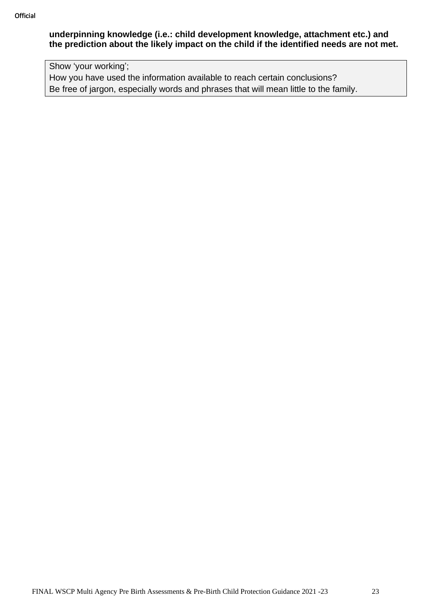#### **underpinning knowledge (i.e.: child development knowledge, attachment etc.) and the prediction about the likely impact on the child if the identified needs are not met.**

Show 'your working';

How you have used the information available to reach certain conclusions? Be free of jargon, especially words and phrases that will mean little to the family.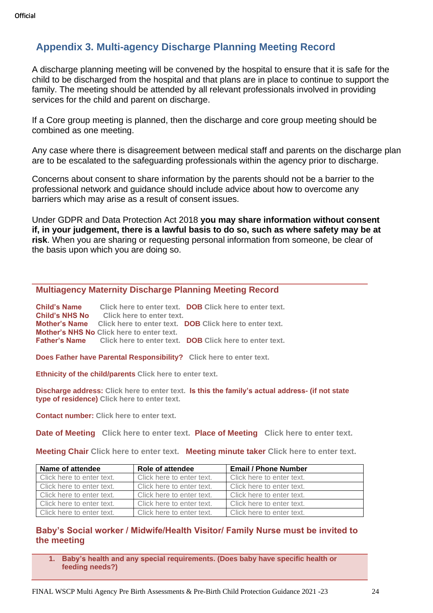## **Appendix 3. Multi-agency Discharge Planning Meeting Record**

A discharge planning meeting will be convened by the hospital to ensure that it is safe for the child to be discharged from the hospital and that plans are in place to continue to support the family. The meeting should be attended by all relevant professionals involved in providing services for the child and parent on discharge.

If a Core group meeting is planned, then the discharge and core group meeting should be combined as one meeting.

Any case where there is disagreement between medical staff and parents on the discharge plan are to be escalated to the safeguarding professionals within the agency prior to discharge.

Concerns about consent to share information by the parents should not be a barrier to the professional network and guidance should include advice about how to overcome any barriers which may arise as a result of consent issues.

Under GDPR and Data Protection Act 2018 **you may share information without consent if, in your judgement, there is a lawful basis to do so, such as where safety may be at risk**. When you are sharing or requesting personal information from someone, be clear of the basis upon which you are doing so.

#### **Multiagency Maternity Discharge Planning Meeting Record**

| <b>Child's Name</b>   |                                                  | Click here to enter text. DOB Click here to enter text.                      |
|-----------------------|--------------------------------------------------|------------------------------------------------------------------------------|
| <b>Child's NHS No</b> | Click here to enter text.                        |                                                                              |
| <b>Mother's Name</b>  |                                                  | Click here to enter text. DOB Click here to enter text.                      |
|                       | <b>Mother's NHS No Click here to enter text.</b> |                                                                              |
|                       |                                                  | <b>Father's Name</b> Click here to enter text. DOB Click here to enter text. |

**Does Father have Parental Responsibility? Click here to enter text.**

**Ethnicity of the child/parents Click here to enter text.**

**Discharge address: Click here to enter text. Is this the family's actual address- (if not state type of residence) Click here to enter text.**

**Contact number: Click here to enter text.**

**Date of Meeting Click here to enter text. Place of Meeting Click here to enter text.**

**Meeting Chair Click here to enter text. Meeting minute taker Click here to enter text.**

| Name of attendee          | <b>Role of attendee</b>   | <b>Email / Phone Number</b> |
|---------------------------|---------------------------|-----------------------------|
| Click here to enter text. | Click here to enter text. | Click here to enter text.   |
| Click here to enter text. | Click here to enter text. | Click here to enter text.   |
| Click here to enter text. | Click here to enter text. | Click here to enter text.   |
| Click here to enter text. | Click here to enter text. | Click here to enter text.   |
| Click here to enter text. | Click here to enter text. | Click here to enter text.   |

#### **Baby's Social worker / Midwife/Health Visitor/ Family Nurse must be invited to the meeting**

**1. Baby's health and any special requirements. (Does baby have specific health or feeding needs?)**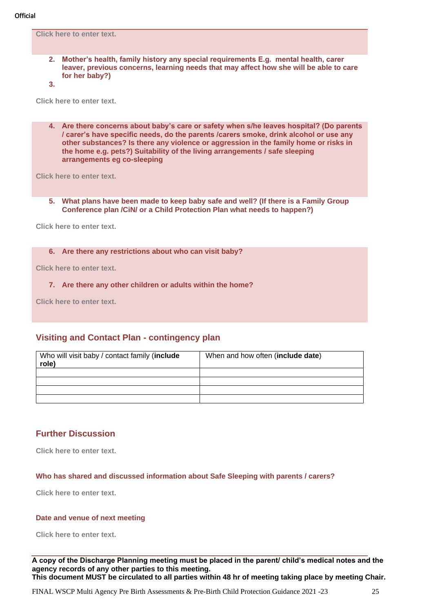**Click here to enter text.**

- **2. Mother's health, family history any special requirements E.g. mental health, carer leaver, previous concerns, learning needs that may affect how she will be able to care for her baby?)**
- **3.**

**Click here to enter text.**

**4. Are there concerns about baby's care or safety when s/he leaves hospital? (Do parents / carer's have specific needs, do the parents /carers smoke, drink alcohol or use any other substances? Is there any violence or aggression in the family home or risks in the home e.g. pets?) Suitability of the living arrangements / safe sleeping arrangements eg co-sleeping** 

**Click here to enter text.**

**5. What plans have been made to keep baby safe and well? (If there is a Family Group Conference plan /CiN/ or a Child Protection Plan what needs to happen?)**

**Click here to enter text.**

**6. Are there any restrictions about who can visit baby?**

**Click here to enter text.**

**7. Are there any other children or adults within the home?**

**Click here to enter text.**

#### **Visiting and Contact Plan - contingency plan**

| Who will visit baby / contact family (include<br>role) | When and how often (include date) |
|--------------------------------------------------------|-----------------------------------|
|                                                        |                                   |
|                                                        |                                   |
|                                                        |                                   |
|                                                        |                                   |

#### **Further Discussion**

**Click here to enter text.**

#### **Who has shared and discussed information about Safe Sleeping with parents / carers?**

**Click here to enter text.**

#### **Date and venue of next meeting**

**Click here to enter text.**

**A copy of the Discharge Planning meeting must be placed in the parent/ child's medical notes and the agency records of any other parties to this meeting. This document MUST be circulated to all parties within 48 hr of meeting taking place by meeting Chair.**